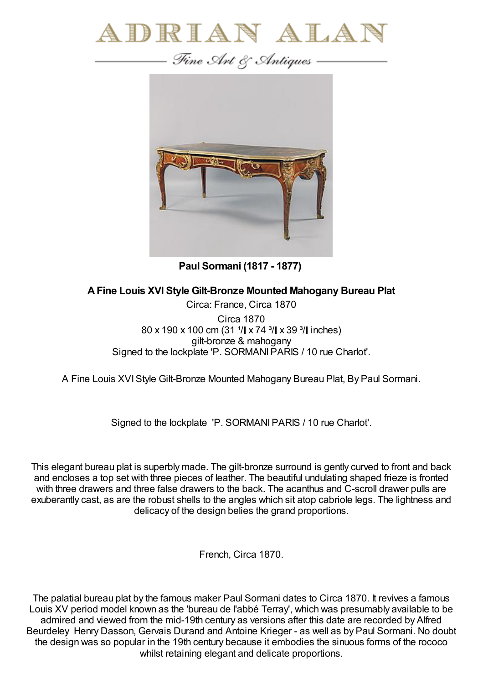



**Paul Sormani (1817 - 1877)**

**AFine Louis XVI Style Gilt-Bronze Mounted Mahogany Bureau Plat**

Circa: France, Circa 1870 Circa 1870 80 x 190 x 100 cm (31  $\sqrt{1}$  x 74  $\sqrt[3]{}$  x 39  $\sqrt[3]{}$  inches) gilt-bronze & mahogany Signed to the lockplate 'P. SORMANIPARIS / 10 rue Charlot'.

A Fine Louis XVIStyle Gilt-Bronze Mounted Mahogany Bureau Plat, By Paul Sormani.

Signed to the lockplate 'P. SORMANIPARIS / 10 rue Charlot'.

This elegant bureau plat is superbly made. The gilt-bronze surround is gently curved to front and back and encloses a top set with three pieces of leather. The beautiful undulating shaped frieze is fronted with three drawers and three false drawers to the back. The acanthus and C-scroll drawer pulls are exuberantly cast, as are the robust shells to the angles which sit atop cabriole legs. The lightness and delicacy of the design belies the grand proportions.

French, Circa 1870.

The palatial bureau plat by the famous maker Paul Sormani dates to Circa 1870. It revives a famous Louis XV period model known as the 'bureau de l'abbé Terray', which was presumably available to be admired and viewed from the mid-19th century as versions after this date are recorded by Alfred Beurdeley Henry Dasson, Gervais Durand and Antoine Krieger - as well as by Paul Sormani. No doubt the design was so popular in the 19th century because it embodies the sinuous forms of the rococo whilst retaining elegant and delicate proportions.